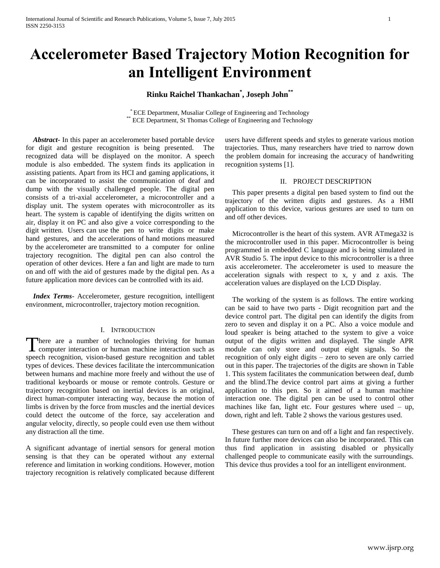# **Accelerometer Based Trajectory Motion Recognition for an Intelligent Environment**

## **Rinku Raichel Thankachan\* , Joseph John\*\***

\* ECE Department, Musaliar College of Engineering and Technology \*\* ECE Department, St Thomas College of Engineering and Technology

 *Abstract***-** In this paper an accelerometer based portable device for digit and gesture recognition is being presented. The recognized data will be displayed on the monitor. A speech module is also embedded. The system finds its application in assisting patients. Apart from its HCI and gaming applications, it can be incorporated to assist the communication of deaf and dump with the visually challenged people. The digital pen consists of a tri-axial accelerometer, a microcontroller and a display unit. The system operates with microcontroller as its heart. The system is capable of identifying the digits written on air, display it on PC and also give a voice corresponding to the digit written. Users can use the pen to write digits or make hand gestures, and the accelerations of hand motions measured by the accelerometer are transmitted to a computer for online trajectory recognition. The digital pen can also control the operation of other devices. Here a fan and light are made to turn on and off with the aid of gestures made by the digital pen. As a future application more devices can be controlled with its aid.

 *Index Terms*- Accelerometer, gesture recognition, intelligent environment, microcontroller, trajectory motion recognition.

#### I. INTRODUCTION

There are a number of technologies thriving for human There are a number of technologies thriving for human computer interaction or human machine interaction such as speech recognition, vision-based gesture recognition and tablet types of devices. These devices facilitate the intercommunication between humans and machine more freely and without the use of traditional keyboards or mouse or remote controls. Gesture or trajectory recognition based on inertial devices is an original, direct human-computer interacting way, because the motion of limbs is driven by the force from muscles and the inertial devices could detect the outcome of the force, say acceleration and angular velocity, directly, so people could even use them without any distraction all the time.

A significant advantage of inertial sensors for general motion sensing is that they can be operated without any external reference and limitation in working conditions. However, motion trajectory recognition is relatively complicated because different

users have different speeds and styles to generate various motion trajectories. Thus, many researchers have tried to narrow down the problem domain for increasing the accuracy of handwriting recognition systems [1].

### II. PROJECT DESCRIPTION

 This paper presents a digital pen based system to find out the trajectory of the written digits and gestures. As a HMI application to this device, various gestures are used to turn on and off other devices.

 Microcontroller is the heart of this system. AVR ATmega32 is the microcontroller used in this paper. Microcontroller is being programmed in embedded C language and is being simulated in AVR Studio 5. The input device to this microcontroller is a three axis accelerometer. The accelerometer is used to measure the acceleration signals with respect to x, y and z axis. The acceleration values are displayed on the LCD Display.

 The working of the system is as follows. The entire working can be said to have two parts - Digit recognition part and the device control part. The digital pen can identify the digits from zero to seven and display it on a PC. Also a voice module and loud speaker is being attached to the system to give a voice output of the digits written and displayed. The single APR module can only store and output eight signals. So the recognition of only eight digits – zero to seven are only carried out in this paper. The trajectories of the digits are shown in Table 1. This system facilitates the communication between deaf, dumb and the blind.The device control part aims at giving a further application to this pen. So it aimed of a human machine interaction one. The digital pen can be used to control other machines like fan, light etc. Four gestures where used  $-$  up, down, right and left. Table 2 shows the various gestures used.

 These gestures can turn on and off a light and fan respectively. In future further more devices can also be incorporated. This can thus find application in assisting disabled or physically challenged people to communicate easily with the surroundings. This device thus provides a tool for an intelligent environment.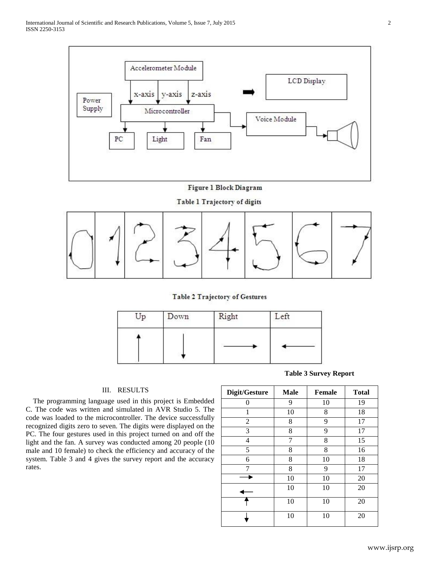

## Figure 1 Block Diagram

Table 1 Trajectory of digits



Table 2 Trajectory of Gestures



#### III. RESULTS

 The programming language used in this project is Embedded C. The code was written and simulated in AVR Studio 5. The code was loaded to the microcontroller. The device successfully recognized digits zero to seven. The digits were displayed on the PC. The four gestures used in this project turned on and off the light and the fan. A survey was conducted among 20 people (10 male and 10 female) to check the efficiency and accuracy of the system. Table 3 and 4 gives the survey report and the accuracy rates.

**Table 3 Survey Report**

| Digit/Gesture | <b>Male</b> | <b>Female</b> | <b>Total</b> |
|---------------|-------------|---------------|--------------|
| 0             | 9           | 10            | 19           |
|               | 10          | 8             | 18           |
| 2             | 8           | 9             | 17           |
| 3             | 8           | 9             | 17           |
| 4             | 7           | 8             | 15           |
| 5             | 8           | 8             | 16           |
| 6             | 8           | 10            | 18           |
| 7             | 8           | 9             | 17           |
|               | 10          | 10            | 20           |
|               | 10          | 10            | 20           |
|               | 10          | 10            | 20           |
|               | 10          | 10            | 20           |